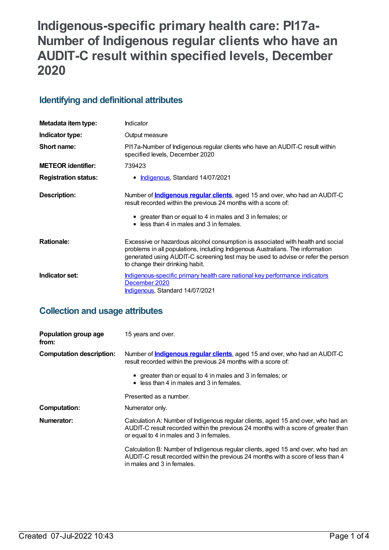# **Indigenous-specific primary health care: PI17a-Number of Indigenous regular clients who have an AUDIT-C result within specified levels, December 2020**

## **Identifying and definitional attributes**

| Metadata item type:         | Indicator                                                                                                                                                                                                                                                                                |
|-----------------------------|------------------------------------------------------------------------------------------------------------------------------------------------------------------------------------------------------------------------------------------------------------------------------------------|
| Indicator type:             | Output measure                                                                                                                                                                                                                                                                           |
| Short name:                 | PI17a-Number of Indigenous regular clients who have an AUDIT-C result within<br>specified levels, December 2020                                                                                                                                                                          |
| <b>METEOR identifier:</b>   | 739423                                                                                                                                                                                                                                                                                   |
| <b>Registration status:</b> | • Indigenous, Standard 14/07/2021                                                                                                                                                                                                                                                        |
| Description:                | Number of <b>Indigenous regular clients</b> , aged 15 and over, who had an AUDIT-C<br>result recorded within the previous 24 months with a score of:<br>• greater than or equal to 4 in males and 3 in females; or<br>$\bullet$ less than 4 in males and 3 in females.                   |
| <b>Rationale:</b>           | Excessive or hazardous alcohol consumption is associated with health and social<br>problems in all populations, including Indigenous Australians. The information<br>generated using AUDIT-C screening test may be used to advise or refer the person<br>to change their drinking habit. |
| Indicator set:              | Indigenous-specific primary health care national key performance indicators<br>December 2020<br><b>Indigenous, Standard 14/07/2021</b>                                                                                                                                                   |

# **Collection and usage attributes**

| Population group age<br>from:   | 15 years and over.                                                                                                                                                                                                  |
|---------------------------------|---------------------------------------------------------------------------------------------------------------------------------------------------------------------------------------------------------------------|
| <b>Computation description:</b> | Number of <b>Indigenous regular clients</b> , aged 15 and over, who had an AUDIT-C<br>result recorded within the previous 24 months with a score of:                                                                |
|                                 | • greater than or equal to 4 in males and 3 in females; or<br>$\bullet$ less than 4 in males and 3 in females.                                                                                                      |
|                                 | Presented as a number.                                                                                                                                                                                              |
| <b>Computation:</b>             | Numerator only.                                                                                                                                                                                                     |
| Numerator:                      | Calculation A: Number of Indigenous regular clients, aged 15 and over, who had an<br>AUDIT-C result recorded within the previous 24 months with a score of greater than<br>or equal to 4 in males and 3 in females. |
|                                 | Calculation B: Number of Indigenous regular clients, aged 15 and over, who had an<br>AUDIT-C result recorded within the previous 24 months with a score of less than 4<br>in males and 3 in females.                |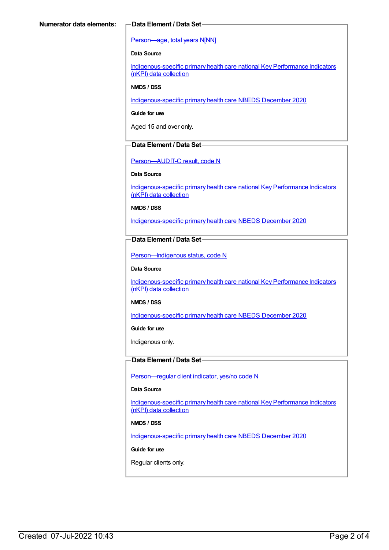#### [Person—age,](https://meteor.aihw.gov.au/content/303794) total years N[NN]

#### **Data Source**

[Indigenous-specific](https://meteor.aihw.gov.au/content/737914) primary health care national Key Performance Indicators (nKPI) data collection

#### **NMDS / DSS**

[Indigenous-specific](https://meteor.aihw.gov.au/content/738532) primary health care NBEDS December 2020

**Guide for use**

Aged 15 and over only.

#### **Data Element / Data Set**

[Person—AUDIT-C](https://meteor.aihw.gov.au/content/585194) result, code N

#### **Data Source**

[Indigenous-specific](https://meteor.aihw.gov.au/content/737914) primary health care national Key Performance Indicators (nKPI) data collection

**NMDS / DSS**

[Indigenous-specific](https://meteor.aihw.gov.au/content/738532) primary health care NBEDS December 2020

### **Data Element / Data Set**

[Person—Indigenous](https://meteor.aihw.gov.au/content/602543) status, code N

#### **Data Source**

[Indigenous-specific](https://meteor.aihw.gov.au/content/737914) primary health care national Key Performance Indicators (nKPI) data collection

#### **NMDS / DSS**

[Indigenous-specific](https://meteor.aihw.gov.au/content/738532) primary health care NBEDS December 2020

**Guide for use**

Indigenous only.

### **Data Element / Data Set**

[Person—regular](https://meteor.aihw.gov.au/content/686291) client indicator, yes/no code N

#### **Data Source**

[Indigenous-specific](https://meteor.aihw.gov.au/content/737914) primary health care national Key Performance Indicators (nKPI) data collection

#### **NMDS / DSS**

[Indigenous-specific](https://meteor.aihw.gov.au/content/738532) primary health care NBEDS December 2020

#### **Guide for use**

Regular clients only.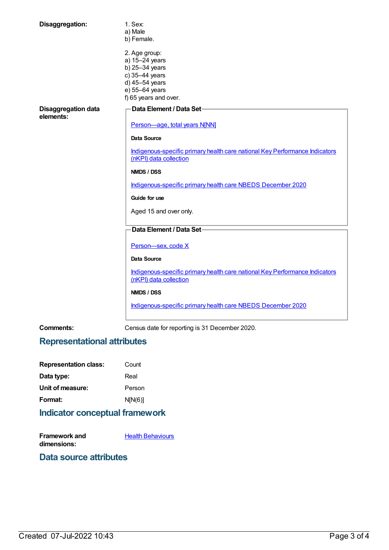| Disaggregation:                         | 1. Sex:<br>a) Male<br>b) Female.                                                                                                 |
|-----------------------------------------|----------------------------------------------------------------------------------------------------------------------------------|
|                                         | 2. Age group:<br>a) 15-24 years<br>b) 25-34 years<br>c) 35-44 years<br>d) 45-54 years<br>e) 55-64 years<br>f) 65 years and over. |
| <b>Disaggregation data</b><br>elements: | Data Element / Data Set-<br>Person-age, total years N[NN]                                                                        |
|                                         | <b>Data Source</b>                                                                                                               |
|                                         |                                                                                                                                  |
|                                         | Indigenous-specific primary health care national Key Performance Indicators<br>(nKPI) data collection                            |
|                                         | NMDS / DSS                                                                                                                       |
|                                         | Indigenous-specific primary health care NBEDS December 2020                                                                      |
|                                         | Guide for use                                                                                                                    |
|                                         | Aged 15 and over only.                                                                                                           |
|                                         | Data Element / Data Set-                                                                                                         |
|                                         | Person-sex, code X                                                                                                               |
|                                         | <b>Data Source</b>                                                                                                               |
|                                         | Indigenous-specific primary health care national Key Performance Indicators<br>(nKPI) data collection                            |
|                                         | NMDS / DSS                                                                                                                       |
|                                         | Indigenous-specific primary health care NBEDS December 2020                                                                      |
|                                         |                                                                                                                                  |

**Comments:** Census date for reporting is 31 December 2020.

# **Representational attributes**

| <b>Representation class:</b> | Count   |
|------------------------------|---------|
| Data type:                   | Real    |
| Unit of measure:             | Person  |
| Format:                      | N[N(6)] |
|                              |         |

# **Indicator conceptual framework**

| Framework and | <b>Health Behaviours</b> |
|---------------|--------------------------|
| dimensions:   |                          |

## **Data source attributes**